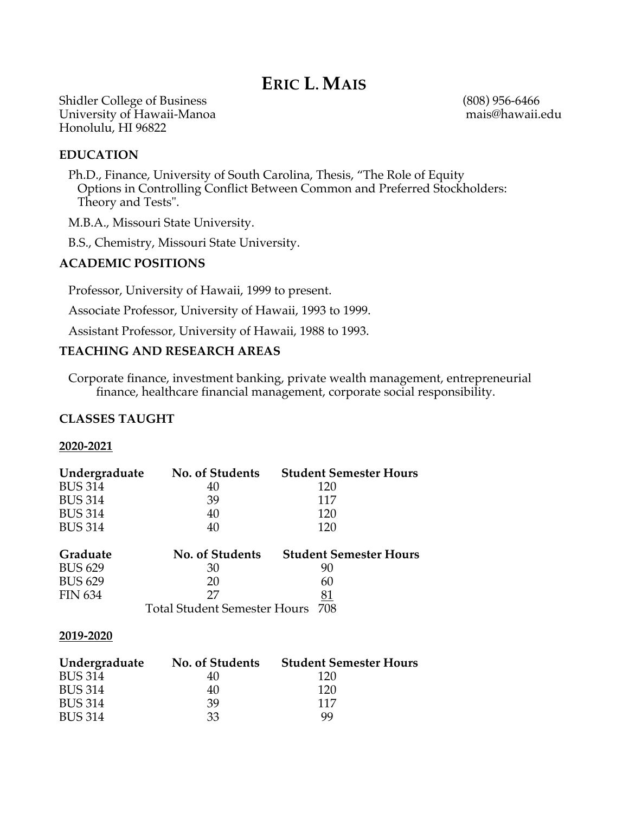# **ERIC L. MAIS**

Shidler College of Business<br>
University of Hawaii-Manoa<br>
University of Hawaii-Manoa University of Hawaii-Manoa Honolulu, HI 96822

## **EDUCATION**

 Ph.D., Finance, University of South Carolina, Thesis, "The Role of Equity Options in Controlling Conflict Between Common and Preferred Stockholders: Theory and Tests".

M.B.A., Missouri State University.

B.S., Chemistry, Missouri State University.

## **ACADEMIC POSITIONS**

Professor, University of Hawaii, 1999 to present.

Associate Professor, University of Hawaii, 1993 to 1999.

Assistant Professor, University of Hawaii, 1988 to 1993.

# **TEACHING AND RESEARCH AREAS**

 Corporate finance, investment banking, private wealth management, entrepreneurial finance, healthcare financial management, corporate social responsibility.

# **CLASSES TAUGHT**

### **2020-2021**

| Undergraduate                       | <b>No. of Students</b> | <b>Student Semester Hours</b> |
|-------------------------------------|------------------------|-------------------------------|
| <b>BUS 314</b>                      | 40                     | 120                           |
| <b>BUS 314</b>                      | 39                     | 117                           |
| <b>BUS 314</b>                      | 40                     | 120                           |
| <b>BUS 314</b>                      | 40                     | 120                           |
| Graduate                            | <b>No. of Students</b> | <b>Student Semester Hours</b> |
| <b>BUS 629</b>                      | 30                     | 90                            |
| <b>BUS 629</b>                      | 20                     | 60                            |
| <b>FIN 634</b>                      | 27                     | 81                            |
| Total Student Semester Hours<br>708 |                        |                               |

#### **2019-2020**

| Undergraduate  | No. of Students | <b>Student Semester Hours</b> |
|----------------|-----------------|-------------------------------|
| <b>BUS 314</b> | 40              | 120                           |
| <b>BUS 314</b> | 40              | 120                           |
| <b>BUS 314</b> | 39              | 117                           |
| <b>BUS 314</b> | 33              | 99                            |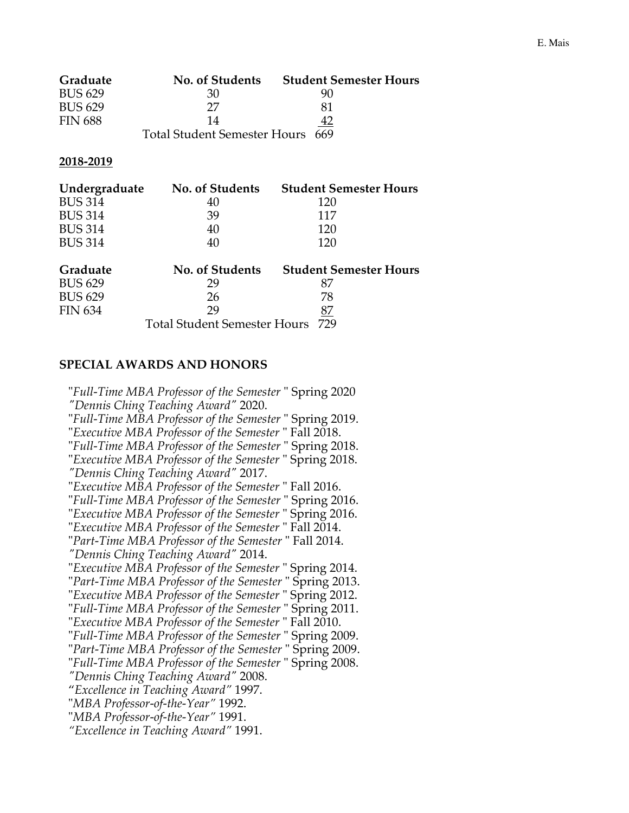| Graduate       | <b>No. of Students</b>           | <b>Student Semester Hours</b> |
|----------------|----------------------------------|-------------------------------|
| <b>BUS 629</b> | 30                               | 90                            |
| <b>BUS 629</b> | 27                               | 81                            |
| <b>FIN 688</b> | 14                               |                               |
|                | Total Student Semester Hours 669 |                               |

#### **2018-2019**

| Undergraduate  | No. of Students | <b>Student Semester Hours</b> |
|----------------|-----------------|-------------------------------|
| <b>BUS 314</b> | 40              | 120                           |
| <b>BUS 314</b> | 39              | 117                           |
| <b>BUS 314</b> | 40              | 120                           |
| <b>BUS 314</b> | 40              | 120                           |
|                |                 |                               |

| Graduate       | No. of Students                  | <b>Student Semester Hours</b> |
|----------------|----------------------------------|-------------------------------|
| <b>BUS 629</b> | 29                               |                               |
| <b>BUS 629</b> | 26                               | 78                            |
| <b>FIN 634</b> | 29                               |                               |
|                | Total Student Semester Hours 729 |                               |

# **SPECIAL AWARDS AND HONORS**

"*Full-Time MBA Professor of the Semester* " Spring 2020 *"Dennis Ching Teaching Award"* 2020. "*Full-Time MBA Professor of the Semester* " Spring 2019. "*Executive MBA Professor of the Semester* " Fall 2018. "*Full-Time MBA Professor of the Semester* " Spring 2018. "*Executive MBA Professor of the Semester* " Spring 2018. *"Dennis Ching Teaching Award"* 2017. "*Executive MBA Professor of the Semester* " Fall 2016. "*Full-Time MBA Professor of the Semester* " Spring 2016. "*Executive MBA Professor of the Semester* " Spring 2016. "*Executive MBA Professor of the Semester* " Fall 2014. "*Part-Time MBA Professor of the Semester* " Fall 2014. *"Dennis Ching Teaching Award"* 2014. "*Executive MBA Professor of the Semester* " Spring 2014. "*Part-Time MBA Professor of the Semester* " Spring 2013. "*Executive MBA Professor of the Semester* " Spring 2012. "*Full-Time MBA Professor of the Semester* " Spring 2011. "*Executive MBA Professor of the Semester* " Fall 2010. "*Full-Time MBA Professor of the Semester* " Spring 2009. "*Part-Time MBA Professor of the Semester* " Spring 2009. "*Full-Time MBA Professor of the Semester* " Spring 2008. *"Dennis Ching Teaching Award"* 2008. "*Excellence in Teaching Award"* 1997. "*MBA Professor-of-the-Year"* 1992. "*MBA Professor-of-the-Year"* 1991. *"Excellence in Teaching Award"* 1991.